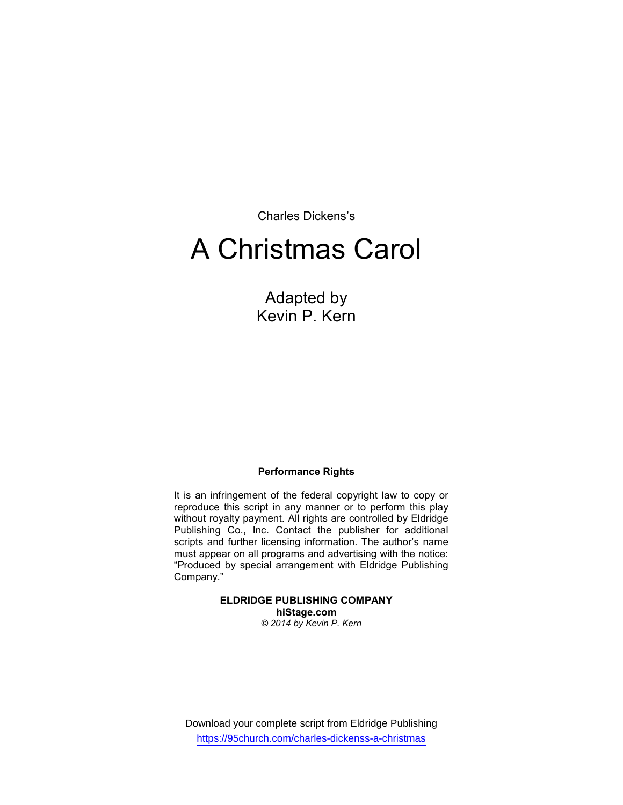Charles Dickens's

# A Christmas Carol

Adapted by Kevin P. Kern

#### Performance Rights

It is an infringement of the federal copyright law to copy or reproduce this script in any manner or to perform this play without royalty payment. All rights are controlled by Eldridge Publishing Co., Inc. Contact the publisher for additional scripts and further licensing information. The author's name must appear on all programs and advertising with the notice: "Produced by special arrangement with Eldridge Publishing Company."

> ELDRIDGE PUBLISHING COMPANY hiStage.com © 2014 by Kevin P. Kern

Download your complete script from Eldridge Publishing https://95church.com/charles-dickenss-a-christmas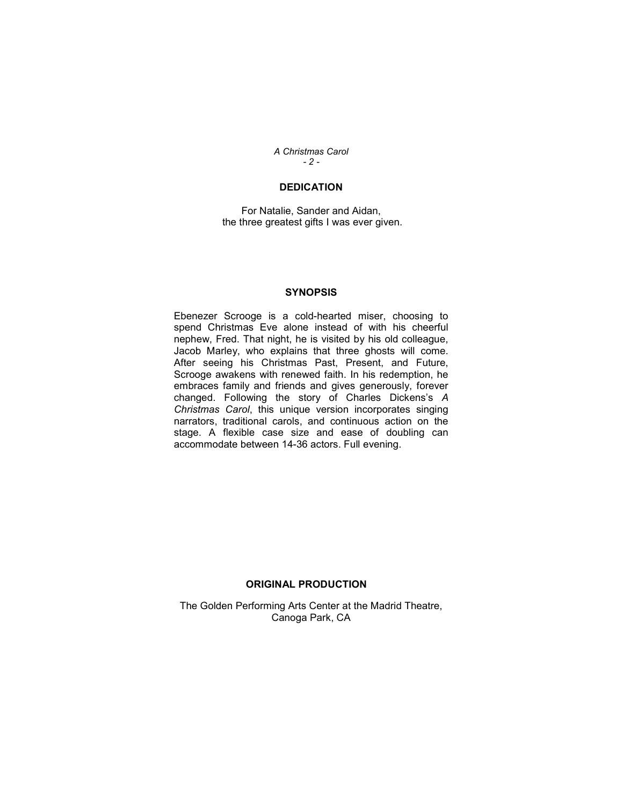A Christmas Carol  $- 2 -$ 

#### **DEDICATION**

For Natalie, Sander and Aidan, the three greatest gifts I was ever given.

#### **SYNOPSIS**

Ebenezer Scrooge is a cold-hearted miser, choosing to spend Christmas Eve alone instead of with his cheerful nephew, Fred. That night, he is visited by his old colleague, Jacob Marley, who explains that three ghosts will come. After seeing his Christmas Past, Present, and Future, Scrooge awakens with renewed faith. In his redemption, he embraces family and friends and gives generously, forever changed. Following the story of Charles Dickens's A Christmas Carol, this unique version incorporates singing narrators, traditional carols, and continuous action on the stage. A flexible case size and ease of doubling can accommodate between 14-36 actors. Full evening.

#### ORIGINAL PRODUCTION

The Golden Performing Arts Center at the Madrid Theatre, Canoga Park, CA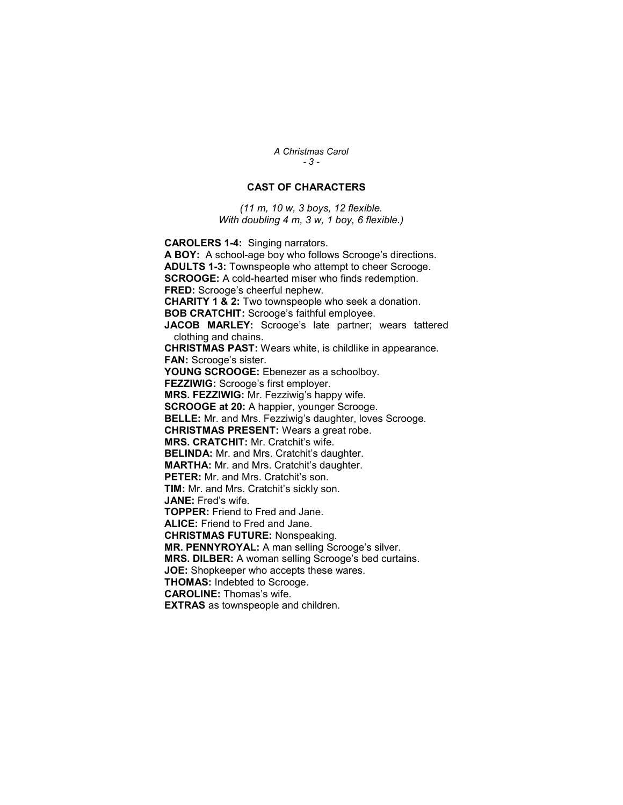A Christmas Carol - 3 -

#### CAST OF CHARACTERS

(11 m, 10 w, 3 boys, 12 flexible. With doubling 4 m, 3 w, 1 boy, 6 flexible.)

CAROLERS 1-4: Singing narrators.

A BOY: A school-age boy who follows Scrooge's directions. ADULTS 1-3: Townspeople who attempt to cheer Scrooge. SCROOGE: A cold-hearted miser who finds redemption. FRED: Scrooge's cheerful nephew. CHARITY 1 & 2: Two townspeople who seek a donation. BOB CRATCHIT: Scrooge's faithful employee. JACOB MARLEY: Scrooge's late partner; wears tattered clothing and chains. CHRISTMAS PAST: Wears white, is childlike in appearance. FAN: Scrooge's sister. YOUNG SCROOGE: Ebenezer as a schoolboy. FEZZIWIG: Scrooge's first employer. MRS. FEZZIWIG: Mr. Fezziwig's happy wife. **SCROOGE at 20:** A happier, younger Scrooge. BELLE: Mr. and Mrs. Fezziwig's daughter, loves Scrooge. CHRISTMAS PRESENT: Wears a great robe. MRS. CRATCHIT: Mr. Cratchit's wife. BELINDA: Mr. and Mrs. Cratchit's daughter. MARTHA: Mr. and Mrs. Cratchit's daughter. PETER: Mr. and Mrs. Cratchit's son. TIM: Mr. and Mrs. Cratchit's sickly son. JANE: Fred's wife. TOPPER: Friend to Fred and Jane. ALICE: Friend to Fred and Jane. CHRISTMAS FUTURE: Nonspeaking. MR. PENNYROYAL: A man selling Scrooge's silver. MRS. DILBER: A woman selling Scrooge's bed curtains. JOE: Shopkeeper who accepts these wares. THOMAS: Indebted to Scrooge. CAROLINE: Thomas's wife.

EXTRAS as townspeople and children.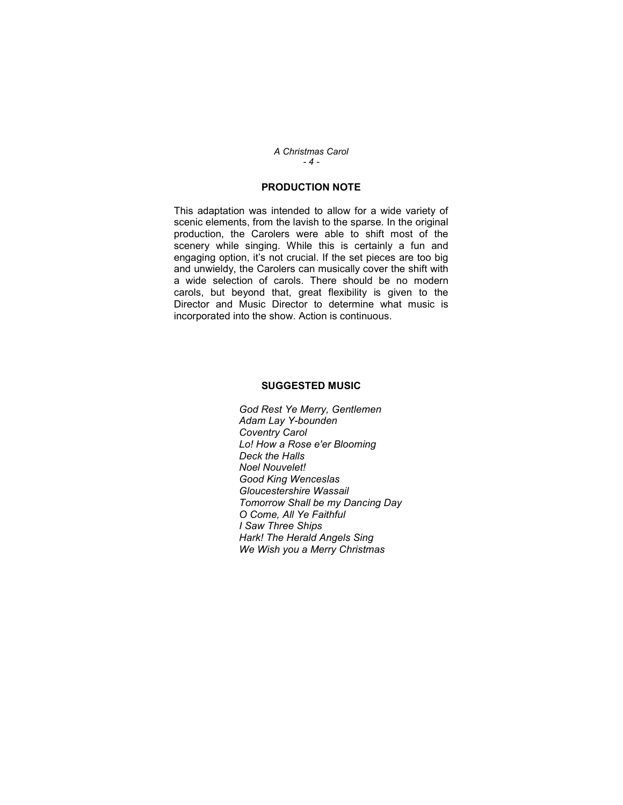A Christmas Carol  $-4 -$ 

#### PRODUCTION NOTE

This adaptation was intended to allow for a wide variety of scenic elements, from the lavish to the sparse. In the original production, the Carolers were able to shift most of the scenery while singing. While this is certainly a fun and engaging option, it's not crucial. If the set pieces are too big and unwieldy, the Carolers can musically cover the shift with a wide selection of carols. There should be no modern carols, but beyond that, great flexibility is given to the Director and Music Director to determine what music is incorporated into the show. Action is continuous.

#### SUGGESTED MUSIC

God Rest Ye Merry, Gentlemen Adam Lay Y-bounden Coventry Carol Lo! How a Rose e'er Blooming Deck the Halls Noel Nouvelet! Good King Wenceslas Gloucestershire Wassail Tomorrow Shall be my Dancing Day O Come, All Ye Faithful I Saw Three Ships Hark! The Herald Angels Sing We Wish you a Merry Christmas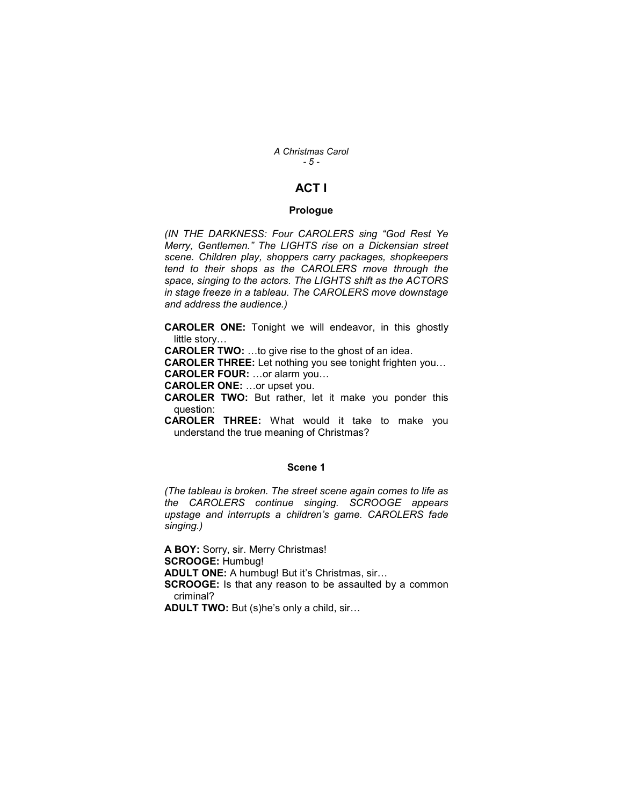A Christmas Carol - 5 -

### ACT I

#### Prologue

(IN THE DARKNESS: Four CAROLERS sing "God Rest Ye Merry, Gentlemen." The LIGHTS rise on a Dickensian street scene. Children play, shoppers carry packages, shopkeepers tend to their shops as the CAROLERS move through the space, singing to the actors. The LIGHTS shift as the ACTORS in stage freeze in a tableau. The CAROLERS move downstage and address the audience.)

CAROLER ONE: Tonight we will endeavor, in this ghostly little story…

CAROLER TWO: …to give rise to the ghost of an idea.

CAROLER THREE: Let nothing you see tonight frighten you… CAROLER FOUR: …or alarm you…

CAROLER ONE: …or upset you.

CAROLER TWO: But rather, let it make you ponder this question:

CAROLER THREE: What would it take to make you understand the true meaning of Christmas?

#### Scene 1

(The tableau is broken. The street scene again comes to life as the CAROLERS continue singing. SCROOGE appears upstage and interrupts a children's game. CAROLERS fade singing.)

A BOY: Sorry, sir. Merry Christmas! SCROOGE: Humbug! ADULT ONE: A humbug! But it's Christmas, sir… **SCROOGE:** Is that any reason to be assaulted by a common criminal? ADULT TWO: But (s)he's only a child, sir...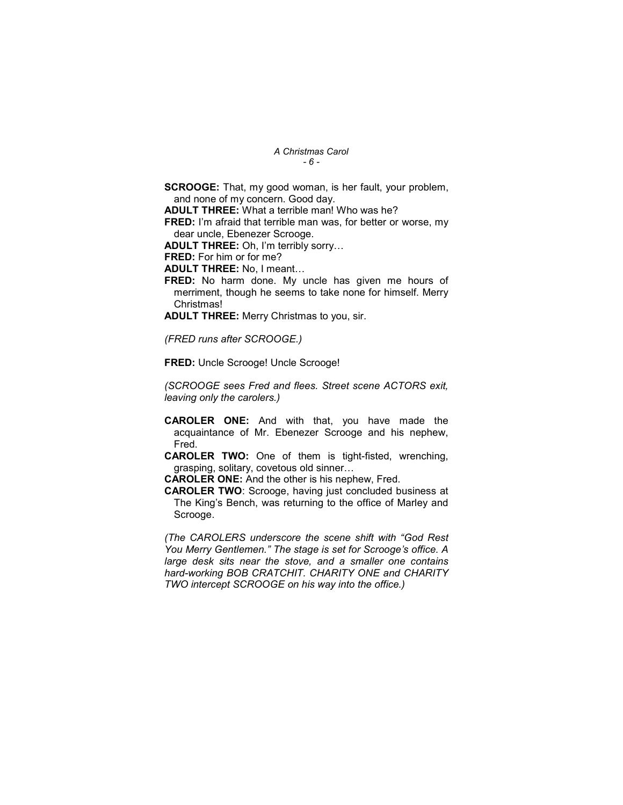#### A Christmas Carol - 6 -

SCROOGE: That, my good woman, is her fault, your problem, and none of my concern. Good day.

ADULT THREE: What a terrible man! Who was he?

FRED: I'm afraid that terrible man was, for better or worse, my dear uncle, Ebenezer Scrooge.

ADULT THREE: Oh, I'm terribly sorry…

FRED: For him or for me?

ADULT THREE: No, I meant…

FRED: No harm done. My uncle has given me hours of merriment, though he seems to take none for himself. Merry Christmas!

ADULT THREE: Merry Christmas to you, sir.

(FRED runs after SCROOGE.)

FRED: Uncle Scrooge! Uncle Scrooge!

(SCROOGE sees Fred and flees. Street scene ACTORS exit, leaving only the carolers.)

- CAROLER ONE: And with that, you have made the acquaintance of Mr. Ebenezer Scrooge and his nephew, Fred.
- CAROLER TWO: One of them is tight-fisted, wrenching, grasping, solitary, covetous old sinner…

CAROLER ONE: And the other is his nephew, Fred.

CAROLER TWO: Scrooge, having just concluded business at The King's Bench, was returning to the office of Marley and Scrooge.

(The CAROLERS underscore the scene shift with "God Rest You Merry Gentlemen." The stage is set for Scrooge's office. A large desk sits near the stove, and a smaller one contains hard-working BOB CRATCHIT. CHARITY ONE and CHARITY TWO intercept SCROOGE on his way into the office.)